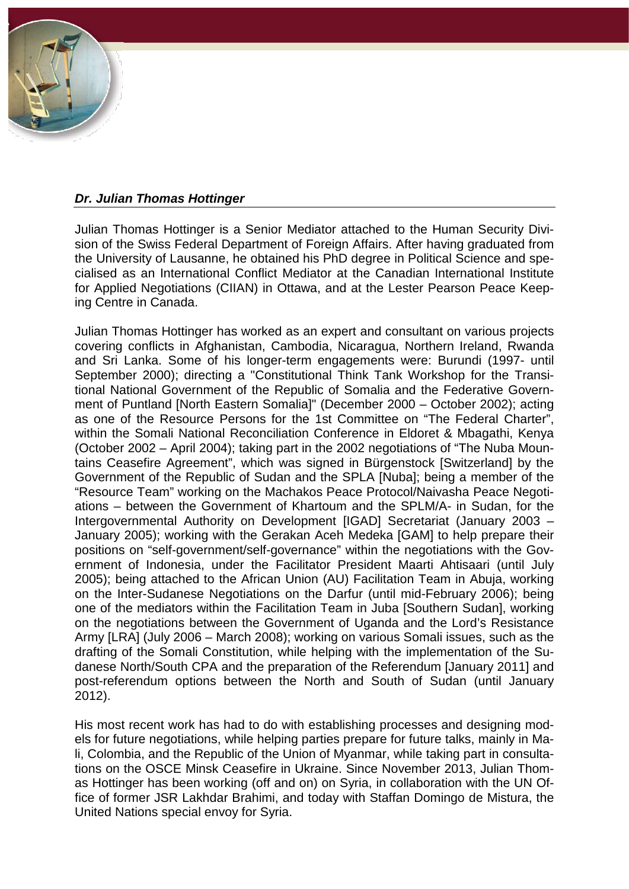## *Dr. Julian Thomas Hottinger*

Julian Thomas Hottinger is a Senior Mediator attached to the Human Security Division of the Swiss Federal Department of Foreign Affairs. After having graduated from the University of Lausanne, he obtained his PhD degree in Political Science and specialised as an International Conflict Mediator at the Canadian International Institute for Applied Negotiations (CIIAN) in Ottawa, and at the Lester Pearson Peace Keeping Centre in Canada.

Julian Thomas Hottinger has worked as an expert and consultant on various projects covering conflicts in Afghanistan, Cambodia, Nicaragua, Northern Ireland, Rwanda and Sri Lanka. Some of his longer-term engagements were: Burundi (1997- until September 2000); directing a "Constitutional Think Tank Workshop for the Transitional National Government of the Republic of Somalia and the Federative Government of Puntland [North Eastern Somalia]" (December 2000 – October 2002); acting as one of the Resource Persons for the 1st Committee on "The Federal Charter", within the Somali National Reconciliation Conference in Eldoret & Mbagathi, Kenya (October 2002 – April 2004); taking part in the 2002 negotiations of "The Nuba Mountains Ceasefire Agreement", which was signed in Bürgenstock [Switzerland] by the Government of the Republic of Sudan and the SPLA [Nuba]; being a member of the "Resource Team" working on the Machakos Peace Protocol/Naivasha Peace Negotiations – between the Government of Khartoum and the SPLM/A- in Sudan, for the Intergovernmental Authority on Development [IGAD] Secretariat (January 2003 – January 2005); working with the Gerakan Aceh Medeka [GAM] to help prepare their positions on "self-government/self-governance" within the negotiations with the Government of Indonesia, under the Facilitator President Maarti Ahtisaari (until July 2005); being attached to the African Union (AU) Facilitation Team in Abuja, working on the Inter-Sudanese Negotiations on the Darfur (until mid-February 2006); being one of the mediators within the Facilitation Team in Juba [Southern Sudan], working on the negotiations between the Government of Uganda and the Lord's Resistance Army [LRA] (July 2006 – March 2008); working on various Somali issues, such as the drafting of the Somali Constitution, while helping with the implementation of the Sudanese North/South CPA and the preparation of the Referendum [January 2011] and post-referendum options between the North and South of Sudan (until January 2012).

His most recent work has had to do with establishing processes and designing models for future negotiations, while helping parties prepare for future talks, mainly in Mali, Colombia, and the Republic of the Union of Myanmar, while taking part in consultations on the OSCE Minsk Ceasefire in Ukraine. Since November 2013, Julian Thomas Hottinger has been working (off and on) on Syria, in collaboration with the UN Office of former JSR Lakhdar Brahimi, and today with Staffan Domingo de Mistura, the United Nations special envoy for Syria.